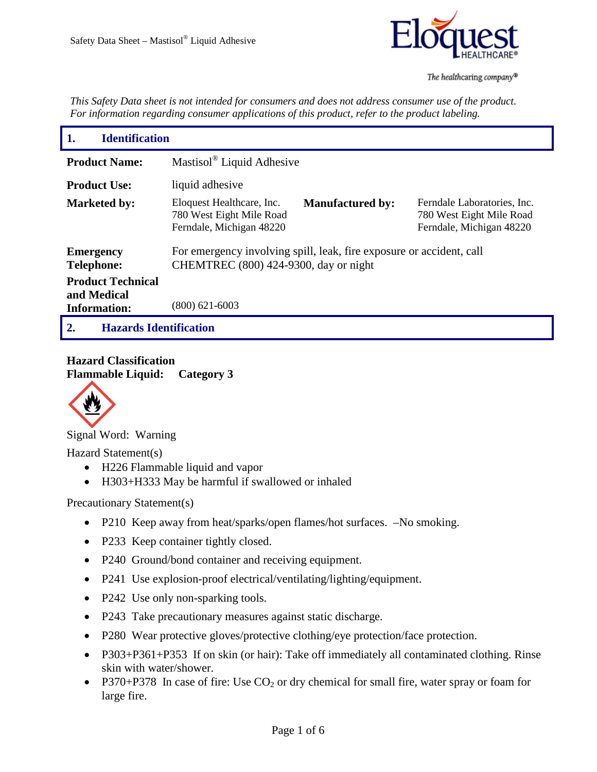

*This Safety Data sheet is not intended for consumers and does not address consumer use of the product. For information regarding consumer applications of this product, refer to the product labeling.*

| 1.<br><b>Identification</b>                                    |                                                                                                               |                         |                                                                                     |
|----------------------------------------------------------------|---------------------------------------------------------------------------------------------------------------|-------------------------|-------------------------------------------------------------------------------------|
| <b>Product Name:</b>                                           | Mastisol <sup>®</sup> Liquid Adhesive                                                                         |                         |                                                                                     |
| <b>Product Use:</b>                                            | liquid adhesive                                                                                               |                         |                                                                                     |
| <b>Marketed by:</b>                                            | Eloquest Healthcare, Inc.<br>780 West Eight Mile Road<br>Ferndale, Michigan 48220                             | <b>Manufactured by:</b> | Ferndale Laboratories, Inc.<br>780 West Eight Mile Road<br>Ferndale, Michigan 48220 |
| <b>Emergency</b><br><b>Telephone:</b>                          | For emergency involving spill, leak, fire exposure or accident, call<br>CHEMTREC (800) 424-9300, day or night |                         |                                                                                     |
| <b>Product Technical</b><br>and Medical<br><b>Information:</b> | $(800)$ 621-6003                                                                                              |                         |                                                                                     |
| <b>Hazards Identification</b><br>2.                            |                                                                                                               |                         |                                                                                     |

**Hazard Classification Flammable Liquid: Category 3**



Signal Word: Warning

Hazard Statement(s)

- H226 Flammable liquid and vapor
- H303+H333 May be harmful if swallowed or inhaled

Precautionary Statement(s)

- P210 Keep away from heat/sparks/open flames/hot surfaces.  $-No$  smoking.
- P233 Keep container tightly closed.
- P240 Ground/bond container and receiving equipment.
- P241 Use explosion-proof electrical/ventilating/lighting/equipment.
- P242 Use only non-sparking tools.
- P243 Take precautionary measures against static discharge.
- P280 Wear protective gloves/protective clothing/eye protection/face protection.
- P303+P361+P353 If on skin (or hair): Take off immediately all contaminated clothing. Rinse skin with water/shower.
- P370+P378 In case of fire: Use  $CO_2$  or dry chemical for small fire, water spray or foam for large fire.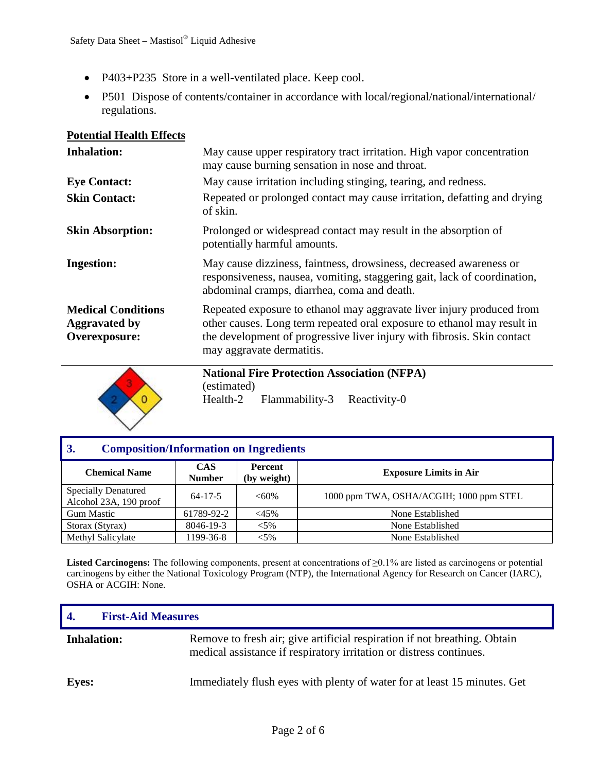- P403+P235 Store in a well-ventilated place. Keep cool.
- P501 Dispose of contents/container in accordance with local/regional/national/international/ regulations.

| <b>Inhalation:</b>                                                 | May cause upper respiratory tract irritation. High vapor concentration<br>may cause burning sensation in nose and throat.                                                                                                                                |
|--------------------------------------------------------------------|----------------------------------------------------------------------------------------------------------------------------------------------------------------------------------------------------------------------------------------------------------|
| <b>Eye Contact:</b>                                                | May cause irritation including stinging, tearing, and redness.                                                                                                                                                                                           |
| <b>Skin Contact:</b>                                               | Repeated or prolonged contact may cause irritation, defatting and drying<br>of skin.                                                                                                                                                                     |
| <b>Skin Absorption:</b>                                            | Prolonged or widespread contact may result in the absorption of<br>potentially harmful amounts.                                                                                                                                                          |
| <b>Ingestion:</b>                                                  | May cause dizziness, faintness, drowsiness, decreased awareness or<br>responsiveness, nausea, vomiting, staggering gait, lack of coordination,<br>abdominal cramps, diarrhea, coma and death.                                                            |
| <b>Medical Conditions</b><br><b>Aggravated by</b><br>Overexposure: | Repeated exposure to ethanol may aggravate liver injury produced from<br>other causes. Long term repeated oral exposure to ethanol may result in<br>the development of progressive liver injury with fibrosis. Skin contact<br>may aggravate dermatitis. |



**National Fire Protection Association (NFPA)** (estimated) Health-2 Flammability-3 Reactivity-0

| 3.<br><b>Composition/Information on Ingredients</b>  |                             |                               |                                         |
|------------------------------------------------------|-----------------------------|-------------------------------|-----------------------------------------|
| <b>Chemical Name</b>                                 | <b>CAS</b><br><b>Number</b> | <b>Percent</b><br>(by weight) | <b>Exposure Limits in Air</b>           |
| <b>Specially Denatured</b><br>Alcohol 23A, 190 proof | $64 - 17 - 5$               | $<60\%$                       | 1000 ppm TWA, OSHA/ACGIH; 1000 ppm STEL |
| <b>Gum Mastic</b>                                    | 61789-92-2                  | $<45\%$                       | None Established                        |
| Storax (Styrax)                                      | 8046-19-3                   | $< 5\%$                       | None Established                        |
| Methyl Salicylate                                    | 1199-36-8                   | $< 5\%$                       | None Established                        |

**Listed Carcinogens:** The following components, present at concentrations of ≥0.1% are listed as carcinogens or potential carcinogens by either the National Toxicology Program (NTP), the International Agency for Research on Cancer (IARC), OSHA or ACGIH: None.

| -4.                | <b>First-Aid Measures</b> |                                                                                                                                                  |
|--------------------|---------------------------|--------------------------------------------------------------------------------------------------------------------------------------------------|
| <b>Inhalation:</b> |                           | Remove to fresh air; give artificial respiration if not breathing. Obtain<br>medical assistance if respiratory irritation or distress continues. |
| <b>Eves:</b>       |                           | Immediately flush eyes with plenty of water for at least 15 minutes. Get                                                                         |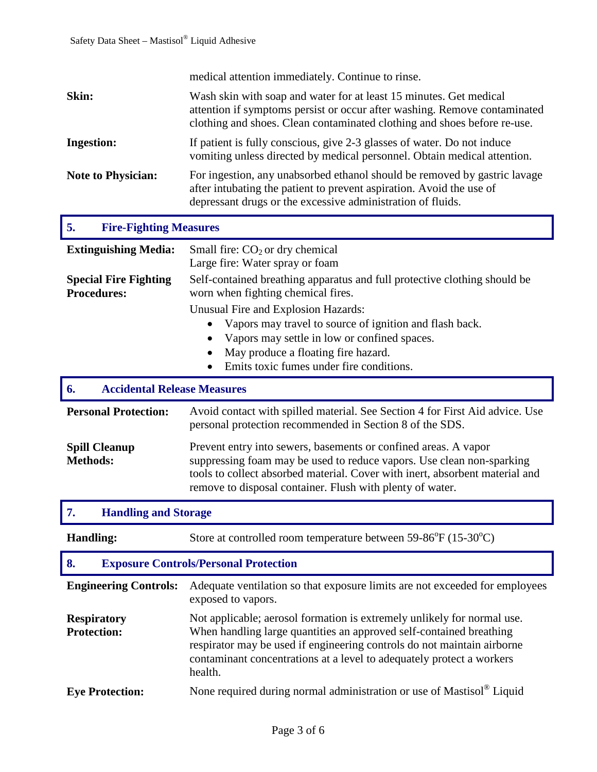|                                                    | medical attention immediately. Continue to rinse.                                                                                                                                                                                                                                                             |  |  |
|----------------------------------------------------|---------------------------------------------------------------------------------------------------------------------------------------------------------------------------------------------------------------------------------------------------------------------------------------------------------------|--|--|
| Skin:                                              | Wash skin with soap and water for at least 15 minutes. Get medical<br>attention if symptoms persist or occur after washing. Remove contaminated<br>clothing and shoes. Clean contaminated clothing and shoes before re-use.                                                                                   |  |  |
| <b>Ingestion:</b>                                  | If patient is fully conscious, give 2-3 glasses of water. Do not induce<br>vomiting unless directed by medical personnel. Obtain medical attention.                                                                                                                                                           |  |  |
| <b>Note to Physician:</b>                          | For ingestion, any unabsorbed ethanol should be removed by gastric lavage<br>after intubating the patient to prevent aspiration. Avoid the use of<br>depressant drugs or the excessive administration of fluids.                                                                                              |  |  |
| 5.<br><b>Fire-Fighting Measures</b>                |                                                                                                                                                                                                                                                                                                               |  |  |
| <b>Extinguishing Media:</b>                        | Small fire: $CO2$ or dry chemical<br>Large fire: Water spray or foam                                                                                                                                                                                                                                          |  |  |
| <b>Special Fire Fighting</b><br><b>Procedures:</b> | Self-contained breathing apparatus and full protective clothing should be<br>worn when fighting chemical fires.                                                                                                                                                                                               |  |  |
|                                                    | Unusual Fire and Explosion Hazards:<br>Vapors may travel to source of ignition and flash back.<br>٠<br>Vapors may settle in low or confined spaces.<br>$\bullet$<br>May produce a floating fire hazard.<br>Emits toxic fumes under fire conditions.                                                           |  |  |
| <b>Accidental Release Measures</b><br>6.           |                                                                                                                                                                                                                                                                                                               |  |  |
| <b>Personal Protection:</b>                        | Avoid contact with spilled material. See Section 4 for First Aid advice. Use<br>personal protection recommended in Section 8 of the SDS.                                                                                                                                                                      |  |  |
| <b>Spill Cleanup</b><br><b>Methods:</b>            | Prevent entry into sewers, basements or confined areas. A vapor<br>suppressing foam may be used to reduce vapors. Use clean non-sparking<br>tools to collect absorbed material. Cover with inert, absorbent material and<br>remove to disposal container. Flush with plenty of water.                         |  |  |
| <b>Handling and Storage</b><br>7.                  |                                                                                                                                                                                                                                                                                                               |  |  |
| <b>Handling:</b>                                   | Store at controlled room temperature between $59-86^{\circ}F (15-30^{\circ}C)$                                                                                                                                                                                                                                |  |  |
| 8.                                                 | <b>Exposure Controls/Personal Protection</b>                                                                                                                                                                                                                                                                  |  |  |
| <b>Engineering Controls:</b>                       | Adequate ventilation so that exposure limits are not exceeded for employees<br>exposed to vapors.                                                                                                                                                                                                             |  |  |
| <b>Respiratory</b><br><b>Protection:</b>           | Not applicable; aerosol formation is extremely unlikely for normal use.<br>When handling large quantities an approved self-contained breathing<br>respirator may be used if engineering controls do not maintain airborne<br>contaminant concentrations at a level to adequately protect a workers<br>health. |  |  |
| <b>Eye Protection:</b>                             | None required during normal administration or use of Mastisol <sup>®</sup> Liquid                                                                                                                                                                                                                             |  |  |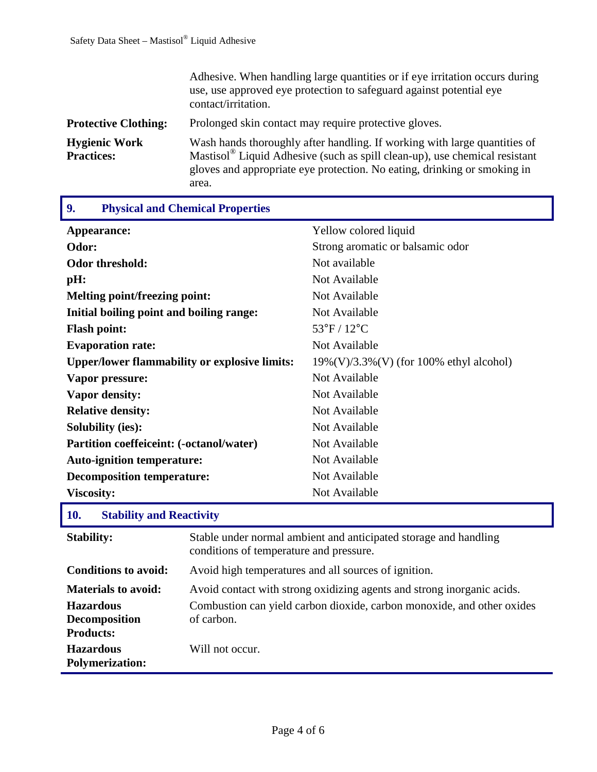|                                           | Adhesive. When handling large quantities or if eye irritation occurs during<br>use, use approved eye protection to safeguard against potential eye<br>contact/irritation.                                                                                |
|-------------------------------------------|----------------------------------------------------------------------------------------------------------------------------------------------------------------------------------------------------------------------------------------------------------|
| <b>Protective Clothing:</b>               | Prolonged skin contact may require protective gloves.                                                                                                                                                                                                    |
| <b>Hygienic Work</b><br><b>Practices:</b> | Wash hands thoroughly after handling. If working with large quantities of<br>Mastisol <sup>®</sup> Liquid Adhesive (such as spill clean-up), use chemical resistant<br>gloves and appropriate eye protection. No eating, drinking or smoking in<br>area. |

Π

| <b>Physical and Chemical Properties</b><br>9.                  |                                                                                      |                                                                  |  |
|----------------------------------------------------------------|--------------------------------------------------------------------------------------|------------------------------------------------------------------|--|
| Appearance:                                                    |                                                                                      | Yellow colored liquid                                            |  |
| Odor:                                                          |                                                                                      | Strong aromatic or balsamic odor                                 |  |
| <b>Odor threshold:</b>                                         |                                                                                      | Not available                                                    |  |
| pH:                                                            |                                                                                      | Not Available                                                    |  |
| Melting point/freezing point:                                  |                                                                                      | Not Available                                                    |  |
| Initial boiling point and boiling range:                       |                                                                                      | Not Available                                                    |  |
| <b>Flash point:</b>                                            |                                                                                      | $53^{\circ}$ F / $12^{\circ}$ C                                  |  |
| <b>Evaporation rate:</b>                                       |                                                                                      | Not Available                                                    |  |
| <b>Upper/lower flammability or explosive limits:</b>           |                                                                                      | 19%(V)/3.3%(V) (for 100% ethyl alcohol)                          |  |
| Vapor pressure:                                                |                                                                                      | Not Available                                                    |  |
| <b>Vapor density:</b>                                          |                                                                                      | Not Available                                                    |  |
| <b>Relative density:</b>                                       |                                                                                      | Not Available                                                    |  |
| <b>Solubility (ies):</b>                                       |                                                                                      | Not Available                                                    |  |
| Partition coeffeiceint: (-octanol/water)                       |                                                                                      | Not Available                                                    |  |
| <b>Auto-ignition temperature:</b>                              |                                                                                      | Not Available                                                    |  |
| <b>Decomposition temperature:</b>                              |                                                                                      | Not Available                                                    |  |
| <b>Viscosity:</b>                                              |                                                                                      | Not Available                                                    |  |
| 10.                                                            | <b>Stability and Reactivity</b>                                                      |                                                                  |  |
| <b>Stability:</b>                                              | conditions of temperature and pressure.                                              | Stable under normal ambient and anticipated storage and handling |  |
| <b>Conditions to avoid:</b>                                    | Avoid high temperatures and all sources of ignition.                                 |                                                                  |  |
| <b>Materials to avoid:</b>                                     | Avoid contact with strong oxidizing agents and strong inorganic acids.               |                                                                  |  |
| <b>Hazardous</b><br><b>Decomposition</b>                       | Combustion can yield carbon dioxide, carbon monoxide, and other oxides<br>of carbon. |                                                                  |  |
| <b>Products:</b><br><b>Hazardous</b><br><b>Polymerization:</b> | Will not occur.                                                                      |                                                                  |  |

# Page 4 of 6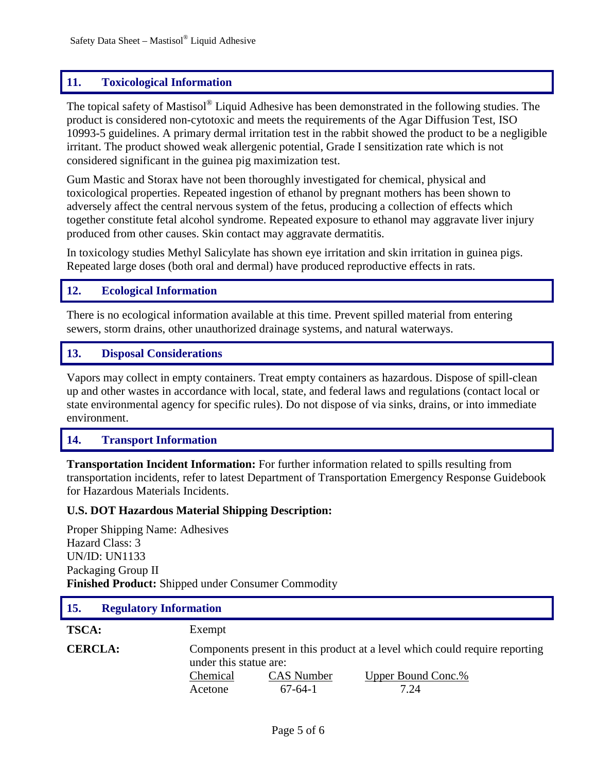## **11. Toxicological Information**

The topical safety of Mastisol® Liquid Adhesive has been demonstrated in the following studies. The product is considered non-cytotoxic and meets the requirements of the Agar Diffusion Test, ISO 10993-5 guidelines. A primary dermal irritation test in the rabbit showed the product to be a negligible irritant. The product showed weak allergenic potential, Grade I sensitization rate which is not considered significant in the guinea pig maximization test.

Gum Mastic and Storax have not been thoroughly investigated for chemical, physical and toxicological properties. Repeated ingestion of ethanol by pregnant mothers has been shown to adversely affect the central nervous system of the fetus, producing a collection of effects which together constitute fetal alcohol syndrome. Repeated exposure to ethanol may aggravate liver injury produced from other causes. Skin contact may aggravate dermatitis.

In toxicology studies Methyl Salicylate has shown eye irritation and skin irritation in guinea pigs. Repeated large doses (both oral and dermal) have produced reproductive effects in rats.

### **12. Ecological Information**

There is no ecological information available at this time. Prevent spilled material from entering sewers, storm drains, other unauthorized drainage systems, and natural waterways.

### **13. Disposal Considerations**

Vapors may collect in empty containers. Treat empty containers as hazardous. Dispose of spill-clean up and other wastes in accordance with local, state, and federal laws and regulations (contact local or state environmental agency for specific rules). Do not dispose of via sinks, drains, or into immediate environment.

### **14. Transport Information**

**Transportation Incident Information:** For further information related to spills resulting from transportation incidents, refer to latest Department of Transportation Emergency Response Guidebook for Hazardous Materials Incidents.

#### **U.S. DOT Hazardous Material Shipping Description:**

Proper Shipping Name: Adhesives Hazard Class: 3 UN/ID: UN1133 Packaging Group II **Finished Product:** Shipped under Consumer Commodity

| <b>Regulatory Information</b><br><b>15.</b> |                                                                                                       |  |
|---------------------------------------------|-------------------------------------------------------------------------------------------------------|--|
| <b>TSCA:</b>                                | Exempt                                                                                                |  |
| <b>CERCLA:</b>                              | Components present in this product at a level which could require reporting<br>under this statue are: |  |
|                                             | Chemical<br><b>CAS</b> Number<br><u>Upper Bound Conc.%</u>                                            |  |
|                                             | $67-64-1$<br>7.24<br>Acetone                                                                          |  |